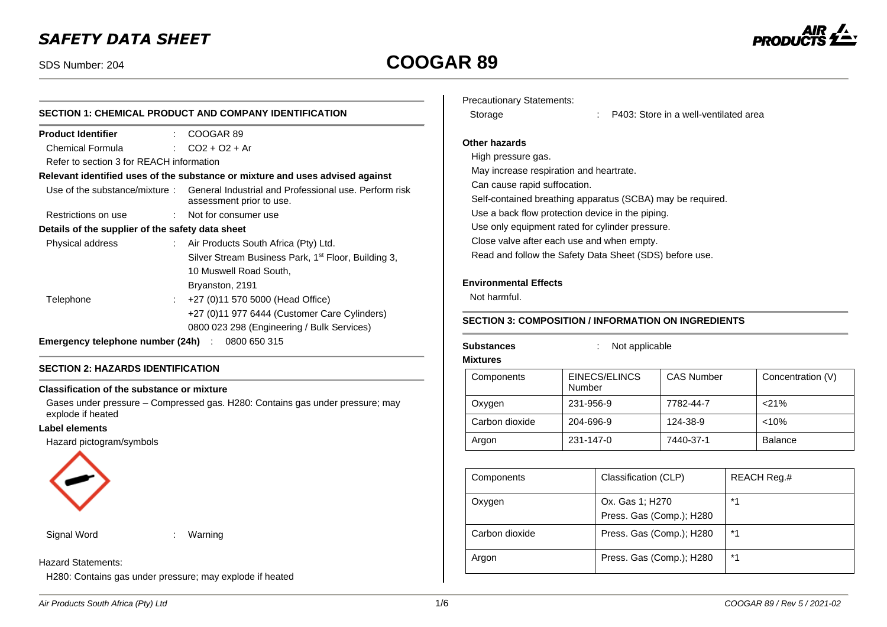## *SAFETY DATA SHEET*

## SDS Number: 204 **COOGAR 89**



#### Precautionary Statements:

Storage : P403: Store in a well-ventilated area

#### **Other hazards**

High pressure gas. May increase respiration and heartrate. Can cause rapid suffocation. Self-contained breathing apparatus (SCBA) may be required. Use a back flow protection device in the piping. Use only equipment rated for cylinder pressure. Close valve after each use and when empty. Read and follow the Safety Data Sheet (SDS) before use.

#### **Environmental Effects**

Not harmful.

#### **SECTION 3: COMPOSITION / INFORMATION ON INGREDIENTS**

**Substances** : Not applicable

#### **Mixtures**

| Components     | EINECS/ELINCS<br>Number | <b>CAS Number</b> | Concentration (V) |
|----------------|-------------------------|-------------------|-------------------|
| Oxygen         | 231-956-9               | 7782-44-7         | $<$ 21%           |
| Carbon dioxide | 204-696-9               | 124-38-9          | < 10%             |
| Argon          | 231-147-0               | 7440-37-1         | <b>Balance</b>    |

| Components     | Classification (CLP)                        | REACH Reg.# |
|----------------|---------------------------------------------|-------------|
| Oxygen         | Ox. Gas 1; H270<br>Press. Gas (Comp.); H280 | $*1$        |
| Carbon dioxide | Press. Gas (Comp.); H280                    | $*1$        |
| Argon          | Press. Gas (Comp.); H280                    | *1          |

# **SECTION 1: CHEMICAL PRODUCT AND COMPANY IDENTIFICATION**

| <b>Product Identifier</b>                              |                           | COOGAR 89                                                                                                       |
|--------------------------------------------------------|---------------------------|-----------------------------------------------------------------------------------------------------------------|
| Chemical Formula                                       | ÷.                        | $CO2 + O2 + Ar$                                                                                                 |
| Refer to section 3 for REACH information               |                           |                                                                                                                 |
|                                                        |                           | Relevant identified uses of the substance or mixture and uses advised against                                   |
|                                                        |                           | Use of the substance/mixture: General Industrial and Professional use. Perform risk<br>assessment prior to use. |
| Restrictions on use                                    |                           | : Not for consumer use                                                                                          |
| Details of the supplier of the safety data sheet       |                           |                                                                                                                 |
| Physical address                                       | $\mathbb{R}^{\mathbb{Z}}$ | Air Products South Africa (Pty) Ltd.                                                                            |
|                                                        |                           | Silver Stream Business Park, 1 <sup>st</sup> Floor, Building 3,                                                 |
|                                                        |                           | 10 Muswell Road South,                                                                                          |
|                                                        |                           | Bryanston, 2191                                                                                                 |
| Telephone                                              |                           | +27 (0)11 570 5000 (Head Office)                                                                                |
|                                                        |                           | +27 (0)11 977 6444 (Customer Care Cylinders)                                                                    |
|                                                        |                           | 0800 023 298 (Engineering / Bulk Services)                                                                      |
| <b>Emergency telephone number (24h)</b> : 0800 650 315 |                           |                                                                                                                 |
|                                                        |                           |                                                                                                                 |

#### **SECTION 2: HAZARDS IDENTIFICATION**

#### **Classification of the substance or mixture**

Gases under pressure – Compressed gas. H280: Contains gas under pressure; may explode if heated

#### **Label elements**

Hazard pictogram/symbols



Signal Word : Warning

Hazard Statements:

H280: Contains gas under pressure; may explode if heated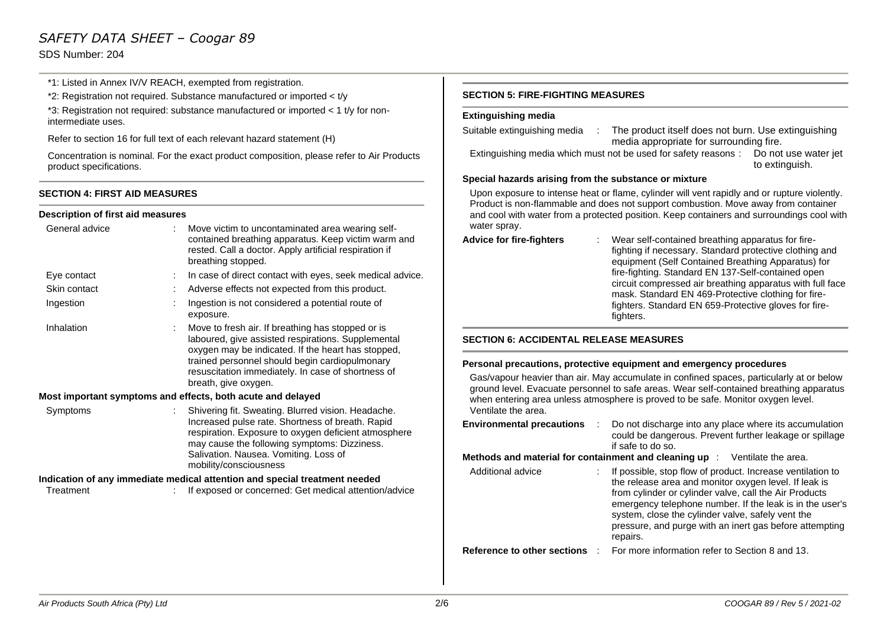## *SAFETY DATA SHEET – Coogar 89*

#### SDS Number: 204

\*1: Listed in Annex IV/V REACH, exempted from registration.

\*2: Registration not required. Substance manufactured or imported < t/y

\*3: Registration not required: substance manufactured or imported < 1 t/y for nonintermediate uses.

Refer to section 16 for full text of each relevant hazard statement (H)

Concentration is nominal. For the exact product composition, please refer to Air Products product specifications.

#### **SECTION 4: FIRST AID MEASURES**

#### **Description of first aid measures**

| General advice                                                             |   | Move victim to uncontaminated area wearing self-<br>contained breathing apparatus. Keep victim warm and<br>rested. Call a doctor. Apply artificial respiration if<br>breathing stopped.                                                                                                       |  |
|----------------------------------------------------------------------------|---|-----------------------------------------------------------------------------------------------------------------------------------------------------------------------------------------------------------------------------------------------------------------------------------------------|--|
| Eye contact                                                                |   | In case of direct contact with eyes, seek medical advice.                                                                                                                                                                                                                                     |  |
| Skin contact                                                               |   | Adverse effects not expected from this product.                                                                                                                                                                                                                                               |  |
| Ingestion                                                                  |   | Ingestion is not considered a potential route of<br>exposure.                                                                                                                                                                                                                                 |  |
| Inhalation                                                                 |   | Move to fresh air. If breathing has stopped or is<br>laboured, give assisted respirations. Supplemental<br>oxygen may be indicated. If the heart has stopped,<br>trained personnel should begin cardiopulmonary<br>resuscitation immediately. In case of shortness of<br>breath, give oxygen. |  |
|                                                                            |   | Most important symptoms and effects, both acute and delayed                                                                                                                                                                                                                                   |  |
| Symptoms                                                                   |   | Shivering fit. Sweating. Blurred vision. Headache.<br>Increased pulse rate. Shortness of breath. Rapid<br>respiration. Exposure to oxygen deficient atmosphere<br>may cause the following symptoms: Dizziness.<br>Salivation. Nausea. Vomiting. Loss of<br>mobility/consciousness             |  |
| Indication of any immediate medical attention and special treatment needed |   |                                                                                                                                                                                                                                                                                               |  |
| Treatment                                                                  | ÷ | If exposed or concerned: Get medical attention/advice                                                                                                                                                                                                                                         |  |

#### **SECTION 5: FIRE-FIGHTING MEASURES**

#### **Extinguishing media**

| Suitable extinguishing media | The product itself does not burn. Use extinguishing            |                                        |
|------------------------------|----------------------------------------------------------------|----------------------------------------|
|                              | media appropriate for surrounding fire.                        |                                        |
|                              | Extinguishing media which must not be used for safety reasons: | Do not use water jet<br>to extinguish. |

#### **Special hazards arising from the substance or mixture**

Upon exposure to intense heat or flame, cylinder will vent rapidly and or rupture violently. Product is non-flammable and does not support combustion. Move away from container and cool with water from a protected position. Keep containers and surroundings cool with water spray.

| <b>Advice for fire-fighters</b> |  | Wear self-contained breathing apparatus for fire-<br>fighting if necessary. Standard protective clothing and<br>equipment (Self Contained Breathing Apparatus) for<br>fire-fighting. Standard EN 137-Self-contained open<br>circuit compressed air breathing apparatus with full face<br>mask. Standard EN 469-Protective clothing for fire-<br>fighters. Standard EN 659-Protective gloves for fire-<br>fighters. |
|---------------------------------|--|--------------------------------------------------------------------------------------------------------------------------------------------------------------------------------------------------------------------------------------------------------------------------------------------------------------------------------------------------------------------------------------------------------------------|
|---------------------------------|--|--------------------------------------------------------------------------------------------------------------------------------------------------------------------------------------------------------------------------------------------------------------------------------------------------------------------------------------------------------------------------------------------------------------------|

#### **SECTION 6: ACCIDENTAL RELEASE MEASURES**

#### **Personal precautions, protective equipment and emergency procedures**

Gas/vapour heavier than air. May accumulate in confined spaces, particularly at or below ground level. Evacuate personnel to safe areas. Wear self-contained breathing apparatus when entering area unless atmosphere is proved to be safe. Monitor oxygen level. Ventilate the area.

| <b>Environmental precautions</b><br><b>COLLEGE</b> | Do not discharge into any place where its accumulation<br>could be dangerous. Prevent further leakage or spillage<br>if safe to do so.<br><b>Methods and material for containment and cleaning up</b> : Ventilate the area.                                                                                                                                           |
|----------------------------------------------------|-----------------------------------------------------------------------------------------------------------------------------------------------------------------------------------------------------------------------------------------------------------------------------------------------------------------------------------------------------------------------|
| Additional advice                                  | If possible, stop flow of product. Increase ventilation to<br>the release area and monitor oxygen level. If leak is<br>from cylinder or cylinder valve, call the Air Products<br>emergency telephone number. If the leak is in the user's<br>system, close the cylinder valve, safely vent the<br>pressure, and purge with an inert gas before attempting<br>repairs. |
| Reference to other sections                        | For more information refer to Section 8 and 13.                                                                                                                                                                                                                                                                                                                       |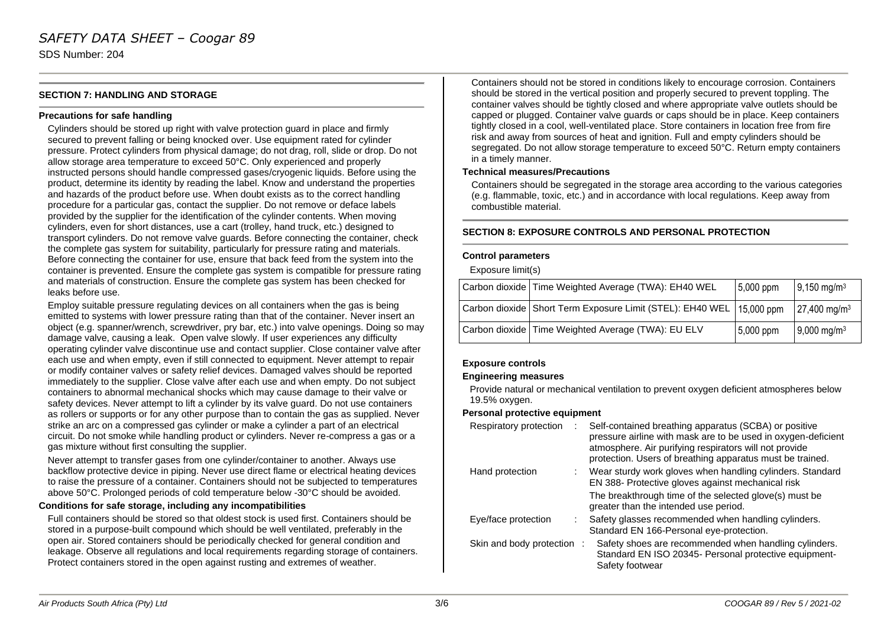#### **SECTION 7: HANDLING AND STORAGE**

#### **Precautions for safe handling**

Cylinders should be stored up right with valve protection guard in place and firmly secured to prevent falling or being knocked over. Use equipment rated for cylinder pressure. Protect cylinders from physical damage; do not drag, roll, slide or drop. Do not allow storage area temperature to exceed 50°C. Only experienced and properly instructed persons should handle compressed gases/cryogenic liquids. Before using the product, determine its identity by reading the label. Know and understand the properties and hazards of the product before use. When doubt exists as to the correct handling procedure for a particular gas, contact the supplier. Do not remove or deface labels provided by the supplier for the identification of the cylinder contents. When moving cylinders, even for short distances, use a cart (trolley, hand truck, etc.) designed to transport cylinders. Do not remove valve guards. Before connecting the container, check the complete gas system for suitability, particularly for pressure rating and materials. Before connecting the container for use, ensure that back feed from the system into the container is prevented. Ensure the complete gas system is compatible for pressure rating and materials of construction. Ensure the complete gas system has been checked for leaks before use.

Employ suitable pressure regulating devices on all containers when the gas is being emitted to systems with lower pressure rating than that of the container. Never insert an object (e.g. spanner/wrench, screwdriver, pry bar, etc.) into valve openings. Doing so may damage valve, causing a leak. Open valve slowly. If user experiences any difficulty operating cylinder valve discontinue use and contact supplier. Close container valve after each use and when empty, even if still connected to equipment. Never attempt to repair or modify container valves or safety relief devices. Damaged valves should be reported immediately to the supplier. Close valve after each use and when empty. Do not subject containers to abnormal mechanical shocks which may cause damage to their valve or safety devices. Never attempt to lift a cylinder by its valve guard. Do not use containers as rollers or supports or for any other purpose than to contain the gas as supplied. Never strike an arc on a compressed gas cylinder or make a cylinder a part of an electrical circuit. Do not smoke while handling product or cylinders. Never re-compress a gas or a gas mixture without first consulting the supplier.

Never attempt to transfer gases from one cylinder/container to another. Always use backflow protective device in piping. Never use direct flame or electrical heating devices to raise the pressure of a container. Containers should not be subjected to temperatures above 50°C. Prolonged periods of cold temperature below -30°C should be avoided.

#### **Conditions for safe storage, including any incompatibilities**

Full containers should be stored so that oldest stock is used first. Containers should be stored in a purpose-built compound which should be well ventilated, preferably in the open air. Stored containers should be periodically checked for general condition and leakage. Observe all regulations and local requirements regarding storage of containers. Protect containers stored in the open against rusting and extremes of weather.

Containers should not be stored in conditions likely to encourage corrosion. Containers should be stored in the vertical position and properly secured to prevent toppling. The container valves should be tightly closed and where appropriate valve outlets should be capped or plugged. Container valve guards or caps should be in place. Keep containers tightly closed in a cool, well-ventilated place. Store containers in location free from fire risk and away from sources of heat and ignition. Full and empty cylinders should be segregated. Do not allow storage temperature to exceed 50°C. Return empty containers in a timely manner.

#### **Technical measures/Precautions**

Containers should be segregated in the storage area according to the various categories (e.g. flammable, toxic, etc.) and in accordance with local regulations. Keep away from combustible material.

#### **SECTION 8: EXPOSURE CONTROLS AND PERSONAL PROTECTION**

#### **Control parameters**

Exposure limit(s)

| Carbon dioxide   Time Weighted Average (TWA): EH40 WEL                 | 5,000 ppm | $9,150 \text{ mg/m}^3$     |
|------------------------------------------------------------------------|-----------|----------------------------|
| Carbon dioxide Short Term Exposure Limit (STEL): EH40 WEL   15,000 ppm |           | $27,400$ mg/m <sup>3</sup> |
| Carbon dioxide   Time Weighted Average (TWA): EU ELV                   | 5,000 ppm | $9,000 \text{ mg/m}^3$     |

#### **Exposure controls**

#### **Engineering measures**

Provide natural or mechanical ventilation to prevent oxygen deficient atmospheres below 19.5% oxygen.

#### **Personal protective equipment**

| Respiratory protection     | ÷ | Self-contained breathing apparatus (SCBA) or positive<br>pressure airline with mask are to be used in oxygen-deficient<br>atmosphere. Air purifying respirators will not provide<br>protection. Users of breathing apparatus must be trained. |
|----------------------------|---|-----------------------------------------------------------------------------------------------------------------------------------------------------------------------------------------------------------------------------------------------|
| Hand protection            |   | : Wear sturdy work gloves when handling cylinders. Standard<br>EN 388- Protective gloves against mechanical risk                                                                                                                              |
|                            |   | The breakthrough time of the selected glove(s) must be<br>greater than the intended use period.                                                                                                                                               |
| Eye/face protection        |   | Safety glasses recommended when handling cylinders.<br>Standard EN 166-Personal eye-protection.                                                                                                                                               |
| Skin and body protection : |   | Safety shoes are recommended when handling cylinders.<br>Standard EN ISO 20345- Personal protective equipment-<br>Safety footwear                                                                                                             |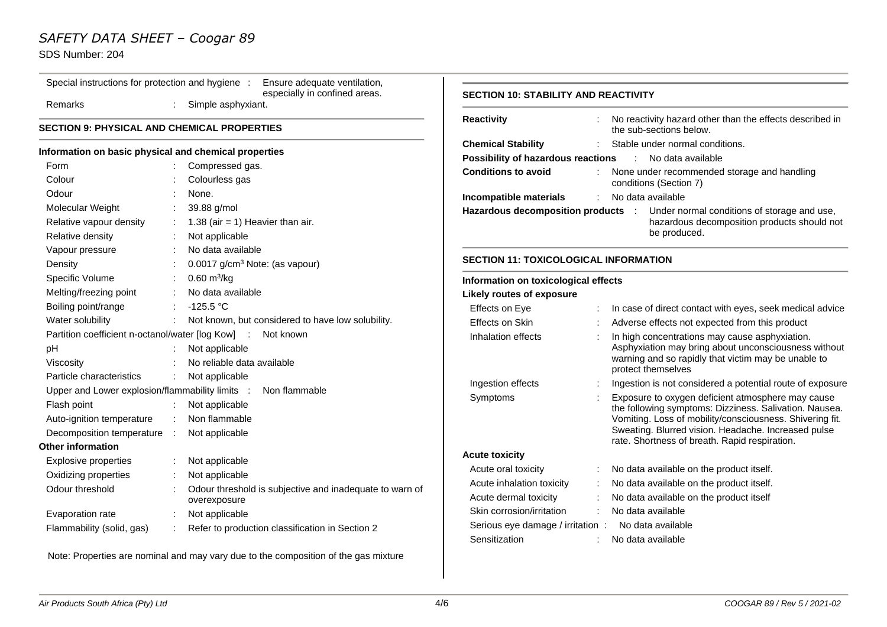### *SAFETY DATA SHEET – Coogar 89*

SDS Number: 204

Special instructions for protection and hygiene : Ensure adequate ventilation,<br>especially in confined areas. Remarks : Simple asphyxiant.

#### **SECTION 9: PHYSICAL AND CHEMICAL PROPERTIES**

#### **Information on basic physical and chemical properties**

| Form                        |                               | Compressed gas.                                                         |
|-----------------------------|-------------------------------|-------------------------------------------------------------------------|
| Colour                      |                               | Colourless gas                                                          |
| Odour                       |                               | None.                                                                   |
| Molecular Weight            |                               | 39.88 g/mol                                                             |
| Relative vapour density     |                               | 1.38 (air = 1) Heavier than air.                                        |
| Relative density            |                               | Not applicable                                                          |
| Vapour pressure             |                               | No data available                                                       |
| Density                     | ÷                             | $0.0017$ g/cm <sup>3</sup> Note: (as vapour)                            |
| Specific Volume             |                               | $0.60 \text{ m}^3/\text{kg}$                                            |
| Melting/freezing point      |                               | No data available                                                       |
| Boiling point/range         |                               | $-125.5 °C$                                                             |
| Water solubility            | $\mathcal{L}^{\mathcal{L}}$ . | Not known, but considered to have low solubility.                       |
|                             |                               | Partition coefficient n-octanol/water [log Kow] : Not known             |
| pH                          |                               | Not applicable                                                          |
| Viscosity                   |                               | No reliable data available                                              |
| Particle characteristics    | ÷                             | Not applicable                                                          |
|                             |                               | Upper and Lower explosion/flammability limits : Non flammable           |
| Flash point                 |                               | Not applicable                                                          |
| Auto-ignition temperature   | ÷                             | Non flammable                                                           |
| Decomposition temperature : |                               | Not applicable                                                          |
| <b>Other information</b>    |                               |                                                                         |
| Explosive properties        |                               | Not applicable                                                          |
| Oxidizing properties        |                               | Not applicable                                                          |
| Odour threshold             |                               | Odour threshold is subjective and inadequate to warn of<br>overexposure |
| Evaporation rate            | ÷                             | Not applicable                                                          |
| Flammability (solid, gas)   | ÷                             | Refer to production classification in Section 2                         |
|                             |                               |                                                                         |

Note: Properties are nominal and may vary due to the composition of the gas mixture

| <b>SECTION 10: STABILITY AND REACTIVITY</b> |  |
|---------------------------------------------|--|
|---------------------------------------------|--|

| <b>Reactivity</b>                            | No reactivity hazard other than the effects described in<br>the sub-sections below.                                                                                                                                                                                             |
|----------------------------------------------|---------------------------------------------------------------------------------------------------------------------------------------------------------------------------------------------------------------------------------------------------------------------------------|
| <b>Chemical Stability</b>                    | Stable under normal conditions.                                                                                                                                                                                                                                                 |
| Possibility of hazardous reactions           | No data available                                                                                                                                                                                                                                                               |
| <b>Conditions to avoid</b>                   | None under recommended storage and handling<br>conditions (Section 7)                                                                                                                                                                                                           |
| Incompatible materials                       | No data available                                                                                                                                                                                                                                                               |
| Hazardous decomposition products :           | Under normal conditions of storage and use,<br>hazardous decomposition products should not<br>be produced.                                                                                                                                                                      |
| <b>SECTION 11: TOXICOLOGICAL INFORMATION</b> |                                                                                                                                                                                                                                                                                 |
| Information on toxicological effects         |                                                                                                                                                                                                                                                                                 |
| Likely routes of exposure                    |                                                                                                                                                                                                                                                                                 |
| Effects on Eye                               | In case of direct contact with eyes, seek medical advice                                                                                                                                                                                                                        |
| Effects on Skin                              | Adverse effects not expected from this product                                                                                                                                                                                                                                  |
| Inhalation effects                           | In high concentrations may cause asphyxiation.<br>Asphyxiation may bring about unconsciousness without<br>warning and so rapidly that victim may be unable to<br>protect themselves                                                                                             |
| Ingestion effects                            | Ingestion is not considered a potential route of exposure                                                                                                                                                                                                                       |
| Symptoms                                     | Exposure to oxygen deficient atmosphere may cause<br>the following symptoms: Dizziness. Salivation. Nausea.<br>Vomiting. Loss of mobility/consciousness. Shivering fit.<br>Sweating. Blurred vision. Headache. Increased pulse<br>rate. Shortness of breath. Rapid respiration. |
| <b>Acute toxicity</b>                        |                                                                                                                                                                                                                                                                                 |
| Acute oral toxicity                          | No data available on the product itself.                                                                                                                                                                                                                                        |
| Acute inhalation toxicity                    | No data available on the product itself.                                                                                                                                                                                                                                        |
| Acute dermal toxicity                        | No data available on the product itself                                                                                                                                                                                                                                         |
| Skin corrosion/irritation                    | No data available                                                                                                                                                                                                                                                               |
| Serious eye damage / irritation :            | No data available                                                                                                                                                                                                                                                               |
| Sensitization                                | No data available                                                                                                                                                                                                                                                               |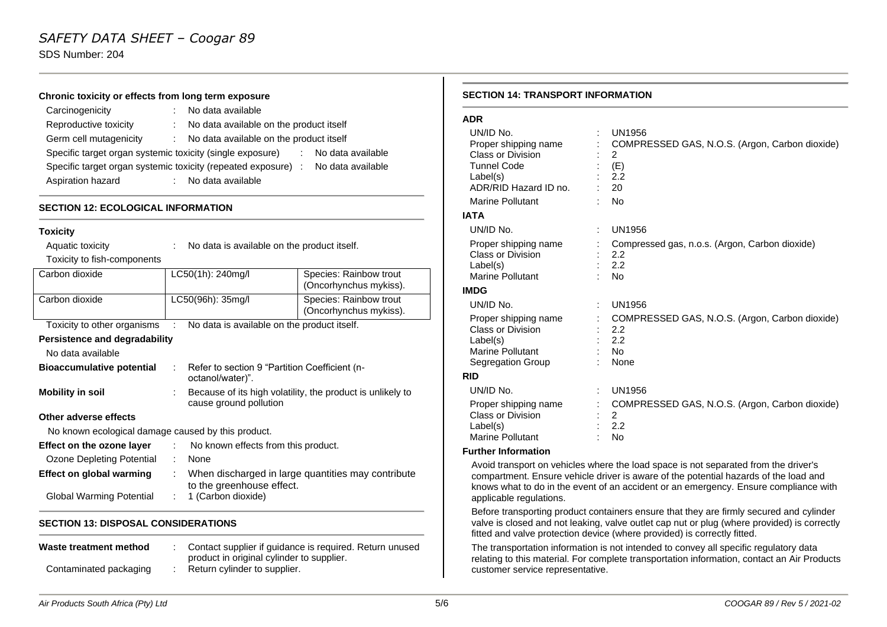#### **Chronic toxicity or effects from long term exposure**

| Carcinogenicity                                                                                   | $\sim$                    | No data available                       |  |
|---------------------------------------------------------------------------------------------------|---------------------------|-----------------------------------------|--|
| Reproductive toxicity                                                                             | t.                        | No data available on the product itself |  |
| Germ cell mutagenicity                                                                            | $\mathbb{Z}^{\mathbb{Z}}$ | No data available on the product itself |  |
| Specific target organ systemic toxicity (single exposure)<br>: No data available                  |                           |                                         |  |
| Specific target organ systemic toxicity (repeated exposure)<br>No data available<br>$\mathcal{L}$ |                           |                                         |  |
| Aspiration hazard                                                                                 |                           | No data available                       |  |

#### **SECTION 12: ECOLOGICAL INFORMATION**

#### **Toxicity**

Aquatic toxicity : No data is available on the product itself.

#### Toxicity to fish-components

| Carbon dioxide                                     | LC50(1h): 240mg/l |                                                                                      | Species: Rainbow trout<br>(Oncorhynchus mykiss).   |  |
|----------------------------------------------------|-------------------|--------------------------------------------------------------------------------------|----------------------------------------------------|--|
| Carbon dioxide                                     | LC50(96h): 35mg/l |                                                                                      | Species: Rainbow trout<br>(Oncorhynchus mykiss).   |  |
| Toxicity to other organisms                        | $\sim$            | No data is available on the product itself.                                          |                                                    |  |
| Persistence and degradability                      |                   |                                                                                      |                                                    |  |
| No data available                                  |                   |                                                                                      |                                                    |  |
| <b>Bioaccumulative potential</b>                   | ÷                 | Refer to section 9 "Partition Coefficient (n-<br>octanol/water)".                    |                                                    |  |
| <b>Mobility in soil</b>                            |                   | Because of its high volatility, the product is unlikely to<br>cause ground pollution |                                                    |  |
| Other adverse effects                              |                   |                                                                                      |                                                    |  |
| No known ecological damage caused by this product. |                   |                                                                                      |                                                    |  |
| Effect on the ozone layer                          | ÷                 | No known effects from this product.                                                  |                                                    |  |
| Ozone Depleting Potential                          |                   | None                                                                                 |                                                    |  |
| Effect on global warming                           | ÷                 | to the greenhouse effect.                                                            | When discharged in large quantities may contribute |  |
| Global Warming Potential                           | ÷                 | 1 (Carbon dioxide)                                                                   |                                                    |  |
|                                                    |                   |                                                                                      |                                                    |  |

#### **SECTION 13: DISPOSAL CONSIDERATIONS**

| Waste treatment method | Contact supplier if guidance is required. Return unused |
|------------------------|---------------------------------------------------------|
|                        | product in original cylinder to supplier.               |
| Contaminated packaging | Return cylinder to supplier.                            |

#### **SECTION 14: TRANSPORT INFORMATION**

#### **ADR**

| UN/ID No.<br>Proper shipping name<br>Class or Division<br><b>Tunnel Code</b><br>Label(s)<br>ADR/RID Hazard ID no.<br>Marine Pollutant |   | UN1956<br>COMPRESSED GAS, N.O.S. (Argon, Carbon dioxide)<br>2<br>(E)<br>2.2<br>20<br><b>No</b> |
|---------------------------------------------------------------------------------------------------------------------------------------|---|------------------------------------------------------------------------------------------------|
| <b>IATA</b>                                                                                                                           |   |                                                                                                |
| UN/ID No.                                                                                                                             | ÷ | UN1956                                                                                         |
| Proper shipping name<br>Class or Division<br>Label(s)<br>Marine Pollutant                                                             |   | Compressed gas, n.o.s. (Argon, Carbon dioxide)<br>2.2<br>2.2<br><b>No</b>                      |
| <b>IMDG</b>                                                                                                                           |   |                                                                                                |
| UN/ID No.                                                                                                                             |   | UN1956                                                                                         |
| Proper shipping name<br>Class or Division<br>Label(s)<br>Marine Pollutant<br>Segregation Group                                        |   | COMPRESSED GAS, N.O.S. (Argon, Carbon dioxide)<br>2.2<br>2.2<br>No.<br>None                    |
| <b>RID</b>                                                                                                                            |   |                                                                                                |
| UN/ID No.<br>Proper shipping name<br>Class or Division<br>Label(s)<br><b>Marine Pollutant</b>                                         |   | UN1956<br>COMPRESSED GAS, N.O.S. (Argon, Carbon dioxide)<br>2<br>2.2<br><b>No</b>              |

#### **Further Information**

Avoid transport on vehicles where the load space is not separated from the driver's compartment. Ensure vehicle driver is aware of the potential hazards of the load and knows what to do in the event of an accident or an emergency. Ensure compliance with applicable regulations.

Before transporting product containers ensure that they are firmly secured and cylinder valve is closed and not leaking, valve outlet cap nut or plug (where provided) is correctly fitted and valve protection device (where provided) is correctly fitted.

The transportation information is not intended to convey all specific regulatory data relating to this material. For complete transportation information, contact an Air Products customer service representative.